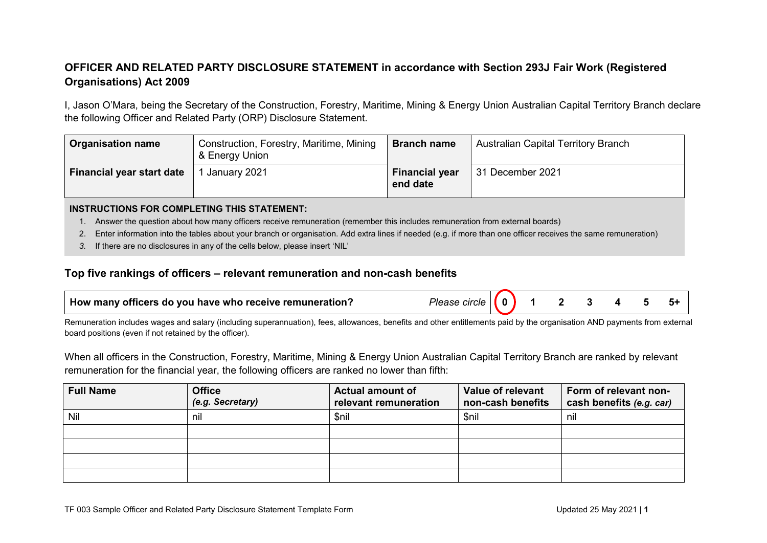## **OFFICER AND RELATED PARTY DISCLOSURE STATEMENT in accordance with Section 293J Fair Work (Registered Organisations) Act 2009**

I, Jason O'Mara, being the Secretary of the Construction, Forestry, Maritime, Mining & Energy Union Australian Capital Territory Branch declare the following Officer and Related Party (ORP) Disclosure Statement.

| <b>Organisation name</b>  | Construction, Forestry, Maritime, Mining<br>& Energy Union | <b>Branch name</b>                | Australian Capital Territory Branch |
|---------------------------|------------------------------------------------------------|-----------------------------------|-------------------------------------|
| Financial year start date | January 2021                                               | <b>Financial year</b><br>end date | 31 December 2021                    |

## **INSTRUCTIONS FOR COMPLETING THIS STATEMENT:**

- 1. Answer the question about how many officers receive remuneration (remember this includes remuneration from external boards)
- 2. Enter information into the tables about your branch or organisation. Add extra lines if needed (e.g. if more than one officer receives the same remuneration)
- *3.* If there are no disclosures in any of the cells below, please insert 'NIL'

## **Top five rankings of officers – relevant remuneration and non-cash benefits**

| $\perp$ How many officers do you have who receive remuneration? | Please<br>circle |  |  |  |  |  |  |  |
|-----------------------------------------------------------------|------------------|--|--|--|--|--|--|--|
|-----------------------------------------------------------------|------------------|--|--|--|--|--|--|--|

Remuneration includes wages and salary (including superannuation), fees, allowances, benefits and other entitlements paid by the organisation AND payments from external board positions (even if not retained by the officer).

When all officers in the Construction, Forestry, Maritime, Mining & Energy Union Australian Capital Territory Branch are ranked by relevant remuneration for the financial year, the following officers are ranked no lower than fifth:

| <b>Full Name</b> | <b>Office</b><br>(e.g. Secretary) | <b>Actual amount of</b><br>relevant remuneration | Value of relevant<br>non-cash benefits | Form of relevant non-<br>cash benefits (e.g. car) |
|------------------|-----------------------------------|--------------------------------------------------|----------------------------------------|---------------------------------------------------|
| Nil              | nil                               | \$nil                                            | \$nil                                  | nil                                               |
|                  |                                   |                                                  |                                        |                                                   |
|                  |                                   |                                                  |                                        |                                                   |
|                  |                                   |                                                  |                                        |                                                   |
|                  |                                   |                                                  |                                        |                                                   |